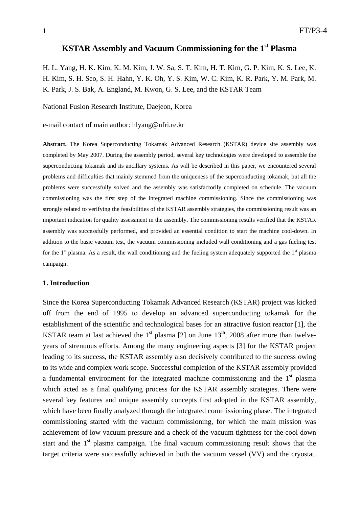# **KSTAR Assembly and Vacuum Commissioning for the 1st Plasma**

H. L. Yang, H. K. Kim, K. M. Kim, J. W. Sa, S. T. Kim, H. T. Kim, G. P. Kim, K. S. Lee, K. H. Kim, S. H. Seo, S. H. Hahn, Y. K. Oh, Y. S. Kim, W. C. Kim, K. R. Park, Y. M. Park, M. K. Park, J. S. Bak, A. England, M. Kwon, G. S. Lee, and the KSTAR Team

National Fusion Research Institute, Daejeon, Korea

e-mail contact of main author: hlyang@nfri.re.kr

**Abstract.** The Korea Superconducting Tokamak Advanced Research (KSTAR) device site assembly was completed by May 2007. During the assembly period, several key technologies were developed to assemble the superconducting tokamak and its ancillary systems. As will be described in this paper, we encountered several problems and difficulties that mainly stemmed from the uniqueness of the superconducting tokamak, but all the problems were successfully solved and the assembly was satisfactorily completed on schedule. The vacuum commissioning was the first step of the integrated machine commissioning. Since the commissioning was strongly related to verifying the feasibilities of the KSTAR assembly strategies, the commissioning result was an important indication for quality assessment in the assembly. The commissioning results verified that the KSTAR assembly was successfully performed, and provided an essential condition to start the machine cool-down. In addition to the basic vacuum test, the vacuum commissioning included wall conditioning and a gas fueling test for the  $1<sup>st</sup>$  plasma. As a result, the wall conditioning and the fueling system adequately supported the  $1<sup>st</sup>$  plasma campaign.

#### **1. Introduction**

Since the Korea Superconducting Tokamak Advanced Research (KSTAR) project was kicked off from the end of 1995 to develop an advanced superconducting tokamak for the establishment of the scientific and technological bases for an attractive fusion reactor [1], the KSTAR team at last achieved the 1<sup>st</sup> plasma [2] on June  $13<sup>th</sup>$ , 2008 after more than twelveyears of strenuous efforts. Among the many engineering aspects [3] for the KSTAR project leading to its success, the KSTAR assembly also decisively contributed to the success owing to its wide and complex work scope. Successful completion of the KSTAR assembly provided a fundamental environment for the integrated machine commissioning and the  $1<sup>st</sup>$  plasma which acted as a final qualifying process for the KSTAR assembly strategies. There were several key features and unique assembly concepts first adopted in the KSTAR assembly, which have been finally analyzed through the integrated commissioning phase. The integrated commissioning started with the vacuum commissioning, for which the main mission was achievement of low vacuum pressure and a check of the vacuum tightness for the cool down start and the  $1<sup>st</sup>$  plasma campaign. The final vacuum commissioning result shows that the target criteria were successfully achieved in both the vacuum vessel (VV) and the cryostat.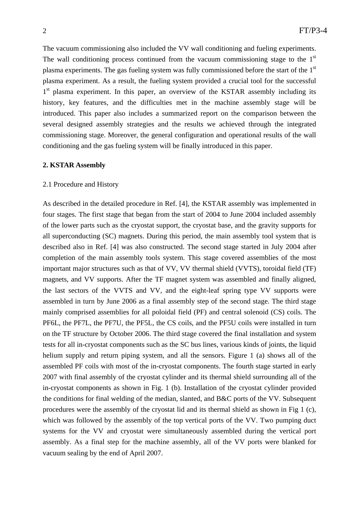The vacuum commissioning also included the VV wall conditioning and fueling experiments. The wall conditioning process continued from the vacuum commissioning stage to the  $1<sup>st</sup>$ plasma experiments. The gas fueling system was fully commissioned before the start of the  $1<sup>st</sup>$ plasma experiment. As a result, the fueling system provided a crucial tool for the successful 1<sup>st</sup> plasma experiment. In this paper, an overview of the KSTAR assembly including its history, key features, and the difficulties met in the machine assembly stage will be introduced. This paper also includes a summarized report on the comparison between the several designed assembly strategies and the results we achieved through the integrated commissioning stage. Moreover, the general configuration and operational results of the wall conditioning and the gas fueling system will be finally introduced in this paper.

#### **2. KSTAR Assembly**

### 2.1 Procedure and History

As described in the detailed procedure in Ref. [4], the KSTAR assembly was implemented in four stages. The first stage that began from the start of 2004 to June 2004 included assembly of the lower parts such as the cryostat support, the cryostat base, and the gravity supports for all superconducting (SC) magnets. During this period, the main assembly tool system that is described also in Ref. [4] was also constructed. The second stage started in July 2004 after completion of the main assembly tools system. This stage covered assemblies of the most important major structures such as that of VV, VV thermal shield (VVTS), toroidal field (TF) magnets, and VV supports. After the TF magnet system was assembled and finally aligned, the last sectors of the VVTS and VV, and the eight-leaf spring type VV supports were assembled in turn by June 2006 as a final assembly step of the second stage. The third stage mainly comprised assemblies for all poloidal field (PF) and central solenoid (CS) coils. The PF6L, the PF7L, the PF7U, the PF5L, the CS coils, and the PF5U coils were installed in turn on the TF structure by October 2006. The third stage covered the final installation and system tests for all in-cryostat components such as the SC bus lines, various kinds of joints, the liquid helium supply and return piping system, and all the sensors. Figure 1 (a) shows all of the assembled PF coils with most of the in-cryostat components. The fourth stage started in early 2007 with final assembly of the cryostat cylinder and its thermal shield surrounding all of the in-cryostat components as shown in Fig. 1 (b). Installation of the cryostat cylinder provided the conditions for final welding of the median, slanted, and  $B&C$  ports of the VV. Subsequent procedures were the assembly of the cryostat lid and its thermal shield as shown in Fig 1 (c), which was followed by the assembly of the top vertical ports of the VV. Two pumping duct systems for the VV and cryostat were simultaneously assembled during the vertical port assembly. As a final step for the machine assembly, all of the VV ports were blanked for vacuum sealing by the end of April 2007.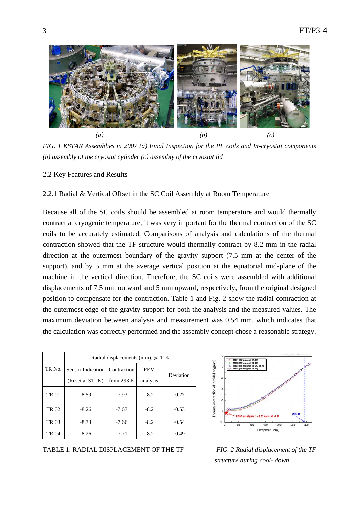

*FIG. 1 KSTAR Assemblies in 2007 (a) Final Inspection for the PF coils and In-cryostat components (b) assembly of the cryostat cylinder (c) assembly of the cryostat lid* 

2.2 Key Features and Results

2.2.1 Radial & Vertical Offset in the SC Coil Assembly at Room Temperature

Because all of the SC coils should be assembled at room temperature and would thermally contract at cryogenic temperature, it was very important for the thermal contraction of the SC coils to be accurately estimated. Comparisons of analysis and calculations of the thermal contraction showed that the TF structure would thermally contract by 8.2 mm in the radial direction at the outermost boundary of the gravity support (7.5 mm at the center of the support), and by 5 mm at the average vertical position at the equatorial mid-plane of the machine in the vertical direction. Therefore, the SC coils were assembled with additional displacements of 7.5 mm outward and 5 mm upward, respectively, from the original designed position to compensate for the contraction. Table 1 and Fig. 2 show the radial contraction at the outermost edge of the gravity support for both the analysis and the measured values. The maximum deviation between analysis and measurement was 0.54 mm, which indicates that the calculation was correctly performed and the assembly concept chose a reasonable strategy.

|             | Radial displacements (mm), @ 11K |              |            |           |
|-------------|----------------------------------|--------------|------------|-----------|
| TR No.      | Sensor Indication   Contraction  |              | <b>FEM</b> | Deviation |
|             | (Reset at $311 K$ )              | from $293 K$ | analysis   |           |
| <b>TR01</b> | $-8.59$                          | $-7.93$      | $-8.2$     | $-0.27$   |
| TR 02       | $-8.26$                          | $-7.67$      | $-8.2$     | $-0.53$   |
| TR 03       | $-8.33$                          | $-7.66$      | $-8.2$     | $-0.54$   |
| TR 04       | $-8.26$                          | $-7.71$      | $-8.2$     | $-0.49$   |

TABLE 1: RADIAL DISPLACEMENT OF THE TF *FIG. 2 Radial displacement of the TF* 



 *structure during cool- down*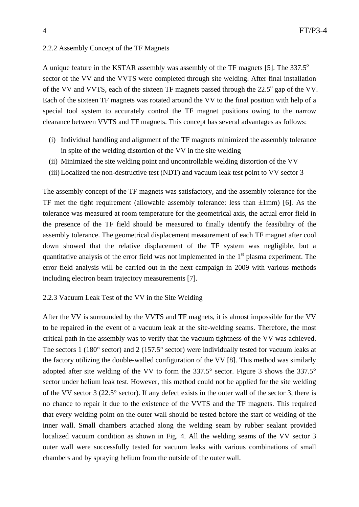# 2.2.2 Assembly Concept of the TF Magnets

A unique feature in the KSTAR assembly was assembly of the TF magnets [5]. The  $337.5^\circ$ sector of the VV and the VVTS were completed through site welding. After final installation of the VV and VVTS, each of the sixteen TF magnets passed through the  $22.5^{\circ}$  gap of the VV. Each of the sixteen TF magnets was rotated around the VV to the final position with help of a special tool system to accurately control the TF magnet positions owing to the narrow clearance between VVTS and TF magnets. This concept has several advantages as follows:

- (i) Individual handling and alignment of the TF magnets minimized the assembly tolerance in spite of the welding distortion of the VV in the site welding
- (ii) Minimized the site welding point and uncontrollable welding distortion of the VV
- (iii) Localized the non-destructive test (NDT) and vacuum leak test point to VV sector 3

The assembly concept of the TF magnets was satisfactory, and the assembly tolerance for the TF met the tight requirement (allowable assembly tolerance: less than  $\pm 1$ mm) [6]. As the tolerance was measured at room temperature for the geometrical axis, the actual error field in the presence of the TF field should be measured to finally identify the feasibility of the assembly tolerance. The geometrical displacement measurement of each TF magnet after cool down showed that the relative displacement of the TF system was negligible, but a quantitative analysis of the error field was not implemented in the  $1<sup>st</sup>$  plasma experiment. The error field analysis will be carried out in the next campaign in 2009 with various methods including electron beam trajectory measurements [7].

# 2.2.3 Vacuum Leak Test of the VV in the Site Welding

After the VV is surrounded by the VVTS and TF magnets, it is almost impossible for the VV to be repaired in the event of a vacuum leak at the site-welding seams. Therefore, the most critical path in the assembly was to verify that the vacuum tightness of the VV was achieved. The sectors 1 (180° sector) and 2 (157.5° sector) were individually tested for vacuum leaks at the factory utilizing the double-walled configuration of the VV [8]. This method was similarly adopted after site welding of the VV to form the 337.5° sector. Figure 3 shows the 337.5° sector under helium leak test. However, this method could not be applied for the site welding of the VV sector 3 (22.5° sector). If any defect exists in the outer wall of the sector 3, there is no chance to repair it due to the existence of the VVTS and the TF magnets. This required that every welding point on the outer wall should be tested before the start of welding of the inner wall. Small chambers attached along the welding seam by rubber sealant provided localized vacuum condition as shown in Fig. 4. All the welding seams of the VV sector 3 outer wall were successfully tested for vacuum leaks with various combinations of small chambers and by spraying helium from the outside of the outer wall.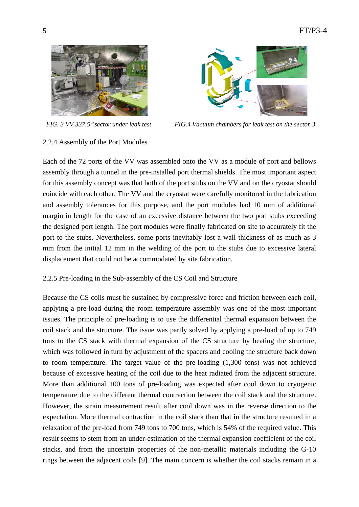



*FIG. 3 VV 337.5*° *sector under leak test FIG.4 Vacuum chambers for leak test on the sector 3* 

# 2.2.4 Assembly of the Port Modules

Each of the 72 ports of the VV was assembled onto the VV as a module of port and bellows assembly through a tunnel in the pre-installed port thermal shields. The most important aspect for this assembly concept was that both of the port stubs on the VV and on the cryostat should coincide with each other. The VV and the cryostat were carefully monitored in the fabrication and assembly tolerances for this purpose, and the port modules had 10 mm of additional margin in length for the case of an excessive distance between the two port stubs exceeding the designed port length. The port modules were finally fabricated on site to accurately fit the port to the stubs. Nevertheless, some ports inevitably lost a wall thickness of as much as 3 mm from the initial 12 mm in the welding of the port to the stubs due to excessive lateral displacement that could not be accommodated by site fabrication.

# 2.2.5 Pre-loading in the Sub-assembly of the CS Coil and Structure

Because the CS coils must be sustained by compressive force and friction between each coil, applying a pre-load during the room temperature assembly was one of the most important issues. The principle of pre-loading is to use the differential thermal expansion between the coil stack and the structure. The issue was partly solved by applying a pre-load of up to 749 tons to the CS stack with thermal expansion of the CS structure by heating the structure, which was followed in turn by adjustment of the spacers and cooling the structure back down to room temperature. The target value of the pre-loading (1,300 tons) was not achieved because of excessive heating of the coil due to the heat radiated from the adjacent structure. More than additional 100 tons of pre-loading was expected after cool down to cryogenic temperature due to the different thermal contraction between the coil stack and the structure. However, the strain measurement result after cool down was in the reverse direction to the expectation. More thermal contraction in the coil stack than that in the structure resulted in a relaxation of the pre-load from 749 tons to 700 tons, which is 54% of the required value. This result seems to stem from an under-estimation of the thermal expansion coefficient of the coil stacks, and from the uncertain properties of the non-metallic materials including the G-10 rings between the adjacent coils [9]. The main concern is whether the coil stacks remain in a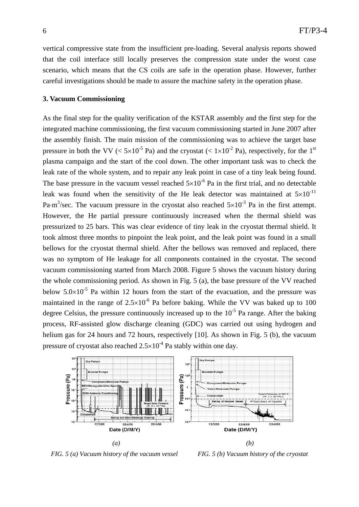vertical compressive state from the insufficient pre-loading. Several analysis reports showed that the coil interface still locally preserves the compression state under the worst case scenario, which means that the CS coils are safe in the operation phase. However, further careful investigations should be made to assure the machine safety in the operation phase.

### **3. Vacuum Commissioning**

As the final step for the quality verification of the KSTAR assembly and the first step for the integrated machine commissioning, the first vacuum commissioning started in June 2007 after the assembly finish. The main mission of the commissioning was to achieve the target base pressure in both the VV ( $\leq 5 \times 10^{-5}$  Pa) and the cryostat ( $\leq 1 \times 10^{-2}$  Pa), respectively, for the 1<sup>st</sup> plasma campaign and the start of the cool down. The other important task was to check the leak rate of the whole system, and to repair any leak point in case of a tiny leak being found. The base pressure in the vacuum vessel reached  $5\times10^{-6}$  Pa in the first trial, and no detectable leak was found when the sensitivity of the He leak detector was maintained at  $5\times10^{-11}$ Pa⋅m<sup>3</sup>/sec. The vacuum pressure in the cryostat also reached  $5\times10^{-3}$  Pa in the first attempt. However, the He partial pressure continuously increased when the thermal shield was pressurized to 25 bars. This was clear evidence of tiny leak in the cryostat thermal shield. It took almost three months to pinpoint the leak point, and the leak point was found in a small bellows for the cryostat thermal shield. After the bellows was removed and replaced, there was no symptom of He leakage for all components contained in the cryostat. The second vacuum commissioning started from March 2008. Figure 5 shows the vacuum history during the whole commissioning period. As shown in Fig. 5 (a), the base pressure of the VV reached below  $5.0\times10^{-5}$  Pa within 12 hours from the start of the evacuation, and the pressure was maintained in the range of  $2.5 \times 10^{-6}$  Pa before baking. While the VV was baked up to 100 degree Celsius, the pressure continuously increased up to the  $10^{-5}$  Pa range. After the baking process, RF-assisted glow discharge cleaning (GDC) was carried out using hydrogen and helium gas for 24 hours and 72 hours, respectively [10]. As shown in Fig. 5 (b), the vacuum pressure of cryostat also reached  $2.5 \times 10^{-4}$  Pa stably within one day.



*FIG. 5 (a) Vacuum history of the vacuum vessel FIG. 5 (b) Vacuum history of the cryostat*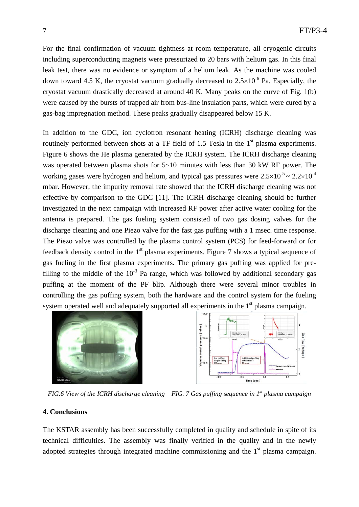For the final confirmation of vacuum tightness at room temperature, all cryogenic circuits including superconducting magnets were pressurized to 20 bars with helium gas. In this final leak test, there was no evidence or symptom of a helium leak. As the machine was cooled down toward 4.5 K, the cryostat vacuum gradually decreased to  $2.5 \times 10^{-6}$  Pa. Especially, the cryostat vacuum drastically decreased at around 40 K. Many peaks on the curve of Fig. 1(b) were caused by the bursts of trapped air from bus-line insulation parts, which were cured by a gas-bag impregnation method. These peaks gradually disappeared below 15 K.

In addition to the GDC, ion cyclotron resonant heating (ICRH) discharge cleaning was routinely performed between shots at a TF field of 1.5 Tesla in the  $1<sup>st</sup>$  plasma experiments. Figure 6 shows the He plasma generated by the ICRH system. The ICRH discharge cleaning was operated between plasma shots for  $5~10$  minutes with less than 30 kW RF power. The working gases were hydrogen and helium, and typical gas pressures were  $2.5 \times 10^{-5} \sim 2.2 \times 10^{-4}$ mbar. However, the impurity removal rate showed that the ICRH discharge cleaning was not effective by comparison to the GDC [11]. The ICRH discharge cleaning should be further investigated in the next campaign with increased RF power after active water cooling for the antenna is prepared. The gas fueling system consisted of two gas dosing valves for the discharge cleaning and one Piezo valve for the fast gas puffing with a 1 msec. time response. The Piezo valve was controlled by the plasma control system (PCS) for feed-forward or for feedback density control in the  $1<sup>st</sup>$  plasma experiments. Figure 7 shows a typical sequence of gas fueling in the first plasma experiments. The primary gas puffing was applied for prefilling to the middle of the  $10^{-3}$  Pa range, which was followed by additional secondary gas puffing at the moment of the PF blip. Although there were several minor troubles in controlling the gas puffing system, both the hardware and the control system for the fueling system operated well and adequately supported all experiments in the  $1<sup>st</sup>$  plasma campaign.





*FIG.6 View of the ICRH discharge cleaning FIG. 7 Gas puffing sequence in 1st plasma campaign*

# **4. Conclusions**

The KSTAR assembly has been successfully completed in quality and schedule in spite of its technical difficulties. The assembly was finally verified in the quality and in the newly adopted strategies through integrated machine commissioning and the  $1<sup>st</sup>$  plasma campaign.